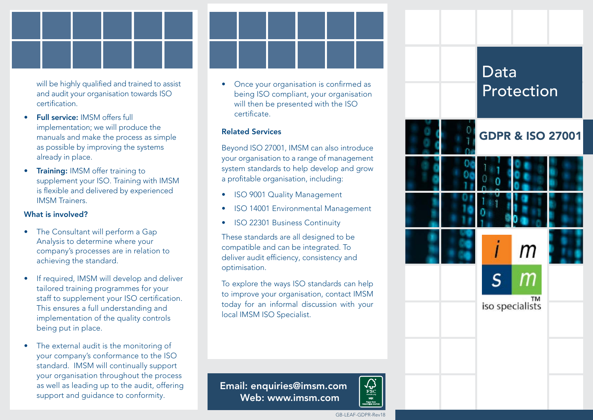will be highly qualified and trained to assist and audit your organisation towards ISO certification.

- Full service: IMSM offers full implementation; we will produce the manuals and make the process as simple as possible by improving the systems already in place.
- **Training: IMSM offer training to** supplement your ISO. Training with IMSM is flexible and delivered by experienced IMSM Trainers.

### What is involved?

- The Consultant will perform a Gap Analysis to determine where your company's processes are in relation to achieving the standard.
- If required, IMSM will develop and deliver tailored training programmes for your staff to supplement your ISO certification. This ensures a full understanding and implementation of the quality controls being put in place.
- The external audit is the monitoring of your company's conformance to the ISO standard. IMSM will continually support your organisation throughout the process as well as leading up to the audit, offering support and guidance to conformity.

• Once your organisation is confirmed as **being ISO compliant, your organisation** will then be presented with the ISO certificate.

# Related Services

Beyond ISO 27001, IMSM can also introduce your organisation to a range of management system standards to help develop and grow a profitable organisation, including:

- **ISO 9001 Quality Management**
- ISO 14001 Environmental Management
- ISO 22301 Business Continuity

These standards are all designed to be compatible and can be integrated. To deliver audit efficiency, consistency and optimisation.

To explore the ways ISO standards can help to improve your organisation, contact IMSM today for an informal discussion with your local IMSM ISO Specialist.



Email: enquiries@imsm.com Web: www.imsm.com

 $\begin{matrix}\n\sqrt{\mathbf{v}} \\
\frac{\text{FSC}}{\text{MIX}}\n\end{matrix}$